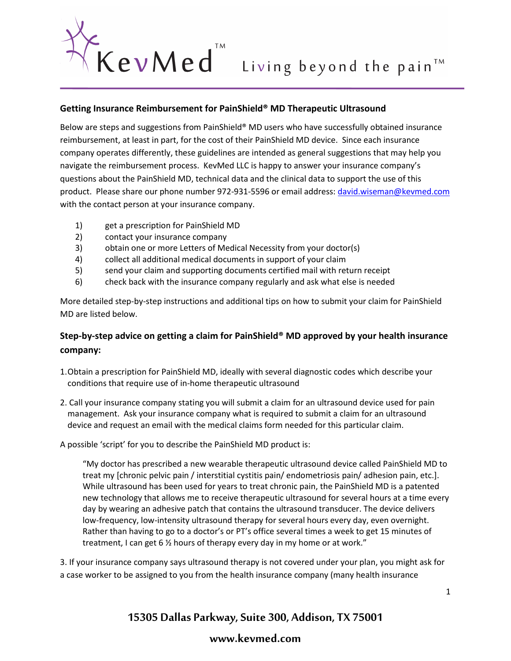

## **Getting Insurance Reimbursement for PainShield® MD Therapeutic Ultrasound**

Below are steps and suggestions from PainShield® MD users who have successfully obtained insurance reimbursement, at least in part, for the cost of their PainShield MD device. Since each insurance company operates differently, these guidelines are intended as general suggestions that may help you navigate the reimbursement process. KevMed LLC is happy to answer your insurance company's questions about the PainShield MD, technical data and the clinical data to support the use of this product. Please share our phone number 972-931-5596 or email address[: david.wiseman@kevmed.com](mailto:david.wiseman@kevmed.com) with the contact person at your insurance company.

- 1) get a prescription for PainShield MD
- 2) contact your insurance company
- 3) obtain one or more Letters of Medical Necessity from your doctor(s)
- 4) collect all additional medical documents in support of your claim
- 5) send your claim and supporting documents certified mail with return receipt
- 6) check back with the insurance company regularly and ask what else is needed

More detailed step-by-step instructions and additional tips on how to submit your claim for PainShield MD are listed below.

# **Step-by-step advice on getting a claim for PainShield® MD approved by your health insurance company:**

- 1.Obtain a prescription for PainShield MD, ideally with several diagnostic codes which describe your conditions that require use of in-home therapeutic ultrasound
- 2. Call your insurance company stating you will submit a claim for an ultrasound device used for pain management. Ask your insurance company what is required to submit a claim for an ultrasound device and request an email with the medical claims form needed for this particular claim.

A possible 'script' for you to describe the PainShield MD product is:

"My doctor has prescribed a new wearable therapeutic ultrasound device called PainShield MD to treat my [chronic pelvic pain / interstitial cystitis pain/ endometriosis pain/ adhesion pain, etc.]. While ultrasound has been used for years to treat chronic pain, the PainShield MD is a patented new technology that allows me to receive therapeutic ultrasound for several hours at a time every day by wearing an adhesive patch that contains the ultrasound transducer. The device delivers low-frequency, low-intensity ultrasound therapy for several hours every day, even overnight. Rather than having to go to a doctor's or PT's office several times a week to get 15 minutes of treatment, I can get 6 ½ hours of therapy every day in my home or at work."

3. If your insurance company says ultrasound therapy is not covered under your plan, you might ask for a case worker to be assigned to you from the health insurance company (many health insurance

# **15305 Dallas Parkway, Suite 300, Addison, TX 75001**

# **www.kevmed.com**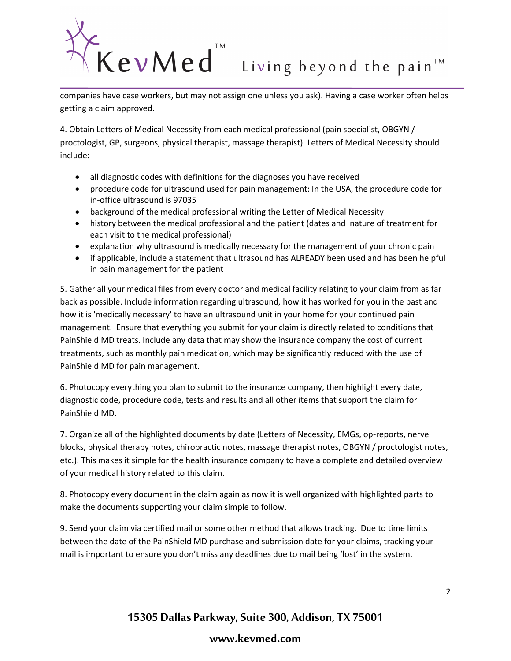# $K$  e  $v$  M e d<sup><sup>TM</sup> Living beyond the pain<sup>TM</sup> companies have case workers, but may not assign one unless you ask). Having a case worker often helps</sup>

getting a claim approved.

4. Obtain Letters of Medical Necessity from each medical professional (pain specialist, OBGYN / proctologist, GP, surgeons, physical therapist, massage therapist). Letters of Medical Necessity should include:

- all diagnostic codes with definitions for the diagnoses you have received
- procedure code for ultrasound used for pain management: In the USA, the procedure code for in-office ultrasound is 97035
- background of the medical professional writing the Letter of Medical Necessity
- history between the medical professional and the patient (dates and nature of treatment for each visit to the medical professional)
- explanation why ultrasound is medically necessary for the management of your chronic pain
- if applicable, include a statement that ultrasound has ALREADY been used and has been helpful in pain management for the patient

5. Gather all your medical files from every doctor and medical facility relating to your claim from as far back as possible. Include information regarding ultrasound, how it has worked for you in the past and how it is 'medically necessary' to have an ultrasound unit in your home for your continued pain management. Ensure that everything you submit for your claim is directly related to conditions that PainShield MD treats. Include any data that may show the insurance company the cost of current treatments, such as monthly pain medication, which may be significantly reduced with the use of PainShield MD for pain management.

6. Photocopy everything you plan to submit to the insurance company, then highlight every date, diagnostic code, procedure code, tests and results and all other items that support the claim for PainShield MD.

7. Organize all of the highlighted documents by date (Letters of Necessity, EMGs, op-reports, nerve blocks, physical therapy notes, chiropractic notes, massage therapist notes, OBGYN / proctologist notes, etc.). This makes it simple for the health insurance company to have a complete and detailed overview of your medical history related to this claim.

8. Photocopy every document in the claim again as now it is well organized with highlighted parts to make the documents supporting your claim simple to follow.

9. Send your claim via certified mail or some other method that allows tracking. Due to time limits between the date of the PainShield MD purchase and submission date for your claims, tracking your mail is important to ensure you don't miss any deadlines due to mail being 'lost' in the system.

**15305 Dallas Parkway, Suite 300, Addison, TX 75001**

# **www.kevmed.com**